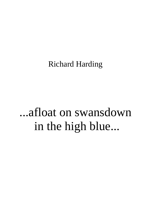Richard Harding

## ...afloat on swansdown in the high blue...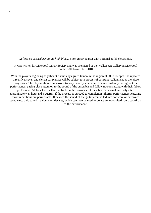*...afloat on swansdown in the high blue...* is for guitar quartet with optional ad-lib electronics.

It was written for Liverpool Guitar Society and was premiered at the Walker Art Gallery in Liverpool on the 18th November 2010.

With the players beginning together at a mutually agreed tempo in the region of 60 to 66 bpm, the repeated three, five, seven and eleven bar phrases will be subject to a process of constant realignment as the piece progresses. The players should endeavour to vary their dynamics and timbre constantly throughout the performance, paying close attention to the sound of the ensemble and following/contrasting with their fellow performers. All four lines will arrive back on the downbeat of their first bars simultaneously after approximately an hour and a quarter, if the process is pursued to completion. Shorter performances featuring fewer repetitions are permissable. If desired the sound of the guitars can be fed into software or hardware based electronic sound manipulation devices, which can then be used to create an improvised sonic backdrop to the performance.